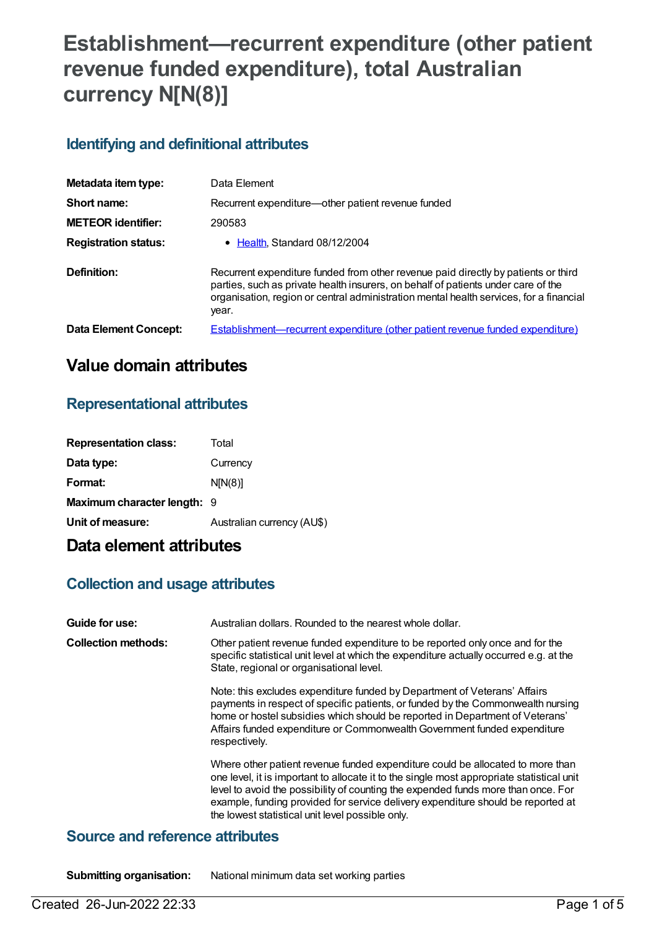# **Establishment—recurrent expenditure (other patient revenue funded expenditure), total Australian currency N[N(8)]**

## **Identifying and definitional attributes**

| Metadata item type:         | Data Element                                                                                                                                                                                                                                                               |
|-----------------------------|----------------------------------------------------------------------------------------------------------------------------------------------------------------------------------------------------------------------------------------------------------------------------|
| Short name:                 | Recurrent expenditure-other patient revenue funded                                                                                                                                                                                                                         |
| <b>METEOR identifier:</b>   | 290583                                                                                                                                                                                                                                                                     |
| <b>Registration status:</b> | • Health, Standard 08/12/2004                                                                                                                                                                                                                                              |
| Definition:                 | Recurrent expenditure funded from other revenue paid directly by patients or third<br>parties, such as private health insurers, on behalf of patients under care of the<br>organisation, region or central administration mental health services, for a financial<br>year. |
| Data Element Concept:       | <b>Establishment—recurrent expenditure (other patient revenue funded expenditure)</b>                                                                                                                                                                                      |

# **Value domain attributes**

### **Representational attributes**

| <b>Representation class:</b> | Total                      |
|------------------------------|----------------------------|
| Data type:                   | Currency                   |
| Format:                      | N[N(8)]                    |
| Maximum character length: 9  |                            |
| Unit of measure:             | Australian currency (AU\$) |
|                              |                            |

# **Data element attributes**

### **Collection and usage attributes**

| Guide for use:             | Australian dollars. Rounded to the nearest whole dollar.                                                                                                                                                                                                                                                                                                                                                 |
|----------------------------|----------------------------------------------------------------------------------------------------------------------------------------------------------------------------------------------------------------------------------------------------------------------------------------------------------------------------------------------------------------------------------------------------------|
| <b>Collection methods:</b> | Other patient revenue funded expenditure to be reported only once and for the<br>specific statistical unit level at which the expenditure actually occurred e.g. at the<br>State, regional or organisational level.                                                                                                                                                                                      |
|                            | Note: this excludes expenditure funded by Department of Veterans' Affairs<br>payments in respect of specific patients, or funded by the Commonwealth nursing<br>home or hostel subsidies which should be reported in Department of Veterans'<br>Affairs funded expenditure or Commonwealth Government funded expenditure<br>respectively.                                                                |
|                            | Where other patient revenue funded expenditure could be allocated to more than<br>one level, it is important to allocate it to the single most appropriate statistical unit<br>level to avoid the possibility of counting the expended funds more than once. For<br>example, funding provided for service delivery expenditure should be reported at<br>the lowest statistical unit level possible only. |

### **Source and reference attributes**

**Submitting organisation:** National minimum data set working parties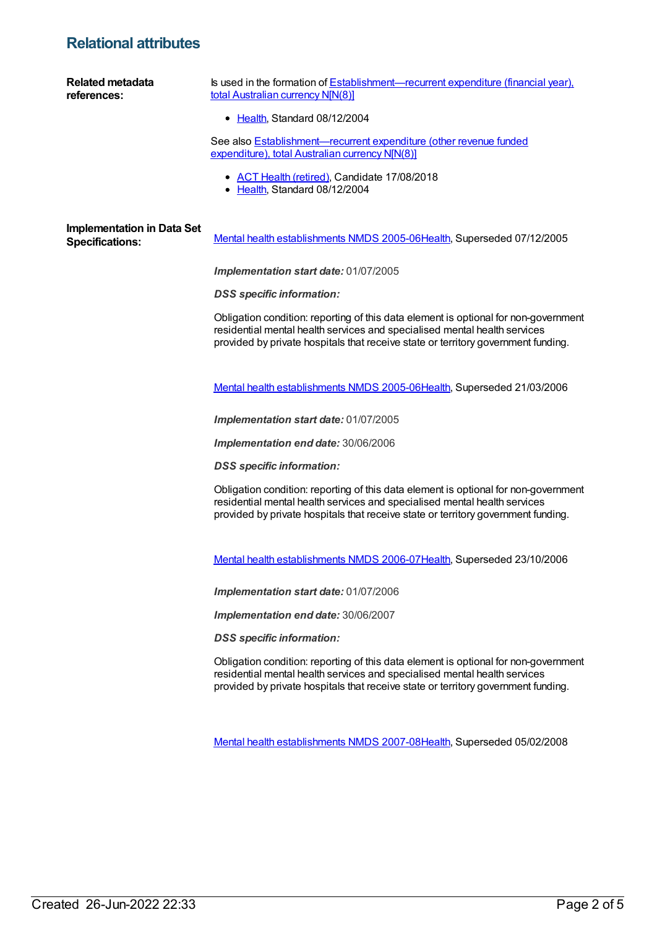# **Relational attributes**

| <b>Related metadata</b><br>references:                      | Is used in the formation of Establishment—recurrent expenditure (financial year).<br>total Australian currency N[N(8)]<br>• Health, Standard 08/12/2004                                                                                               |
|-------------------------------------------------------------|-------------------------------------------------------------------------------------------------------------------------------------------------------------------------------------------------------------------------------------------------------|
|                                                             | See also <b>Establishment-recurrent expenditure (other revenue funded</b><br>expenditure), total Australian currency N[N(8)]                                                                                                                          |
|                                                             | • ACT Health (retired), Candidate 17/08/2018<br>• Health, Standard 08/12/2004                                                                                                                                                                         |
| <b>Implementation in Data Set</b><br><b>Specifications:</b> | Mental health establishments NMDS 2005-06Health, Superseded 07/12/2005                                                                                                                                                                                |
|                                                             | Implementation start date: 01/07/2005                                                                                                                                                                                                                 |
|                                                             | <b>DSS</b> specific information:                                                                                                                                                                                                                      |
|                                                             | Obligation condition: reporting of this data element is optional for non-government<br>residential mental health services and specialised mental health services<br>provided by private hospitals that receive state or territory government funding. |
|                                                             | Mental health establishments NMDS 2005-06Health, Superseded 21/03/2006                                                                                                                                                                                |
|                                                             | Implementation start date: 01/07/2005                                                                                                                                                                                                                 |
|                                                             | Implementation end date: 30/06/2006                                                                                                                                                                                                                   |
|                                                             | <b>DSS</b> specific information:                                                                                                                                                                                                                      |
|                                                             | Obligation condition: reporting of this data element is optional for non-government<br>residential mental health services and specialised mental health services<br>provided by private hospitals that receive state or territory government funding. |
|                                                             | Mental health establishments NMDS 2006-07 Health, Superseded 23/10/2006                                                                                                                                                                               |
|                                                             | Implementation start date: 01/07/2006                                                                                                                                                                                                                 |
|                                                             | Implementation end date: 30/06/2007                                                                                                                                                                                                                   |
|                                                             | <b>DSS</b> specific information:                                                                                                                                                                                                                      |
|                                                             | Obligation condition: reporting of this data element is optional for non-government<br>residential mental health services and specialised mental health services<br>provided by private hospitals that receive state or territory government funding. |
|                                                             | Mental health establishments NMDS 2007-08Health, Superseded 05/02/2008                                                                                                                                                                                |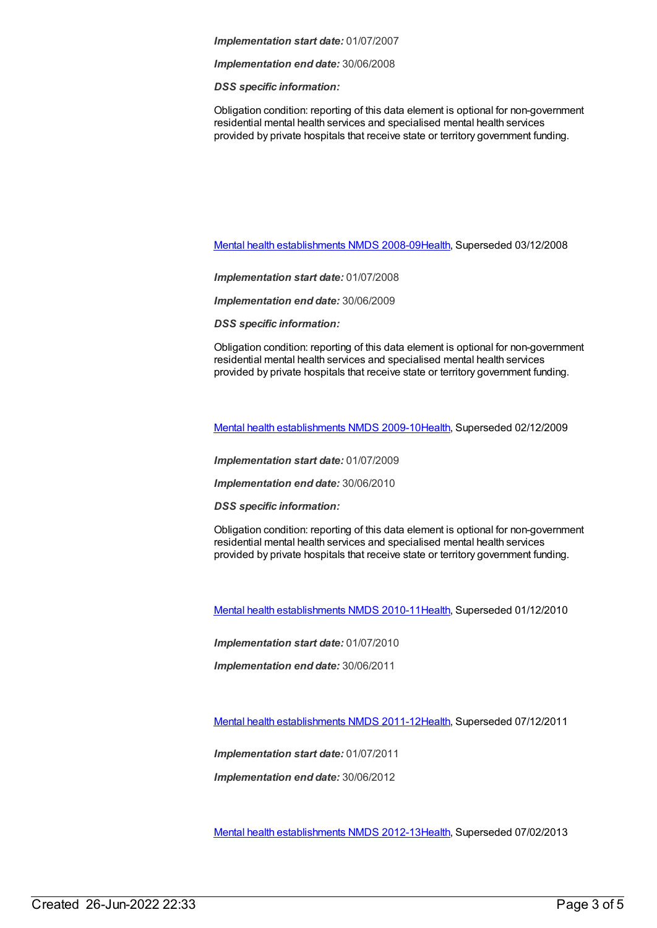#### *Implementation start date:* 01/07/2007

*Implementation end date:* 30/06/2008

*DSS specific information:*

Obligation condition: reporting of this data element is optional for non-government residential mental health services and specialised mental health services provided by private hospitals that receive state or territory government funding.

Mental health [establishments](https://meteor.aihw.gov.au/content/362299) NMDS 2008-09[Health](https://meteor.aihw.gov.au/RegistrationAuthority/12), Superseded 03/12/2008

*Implementation start date:* 01/07/2008

*Implementation end date:* 30/06/2009

*DSS specific information:*

Obligation condition: reporting of this data element is optional for non-government residential mental health services and specialised mental health services provided by private hospitals that receive state or territory government funding.

Mental health [establishments](https://meteor.aihw.gov.au/content/374981) NMDS 2009-10[Health](https://meteor.aihw.gov.au/RegistrationAuthority/12), Superseded 02/12/2009

*Implementation start date:* 01/07/2009

*Implementation end date:* 30/06/2010

*DSS specific information:*

Obligation condition: reporting of this data element is optional for non-government residential mental health services and specialised mental health services provided by private hospitals that receive state or territory government funding.

Mental health [establishments](https://meteor.aihw.gov.au/content/378611) NMDS 2010-11[Health](https://meteor.aihw.gov.au/RegistrationAuthority/12), Superseded 01/12/2010

*Implementation start date:* 01/07/2010

*Implementation end date:* 30/06/2011

Mental health [establishments](https://meteor.aihw.gov.au/content/424725) NMDS 2011-12[Health](https://meteor.aihw.gov.au/RegistrationAuthority/12), Superseded 07/12/2011

*Implementation start date:* 01/07/2011

*Implementation end date:* 30/06/2012

Mental health [establishments](https://meteor.aihw.gov.au/content/468195) NMDS 2012-13[Health](https://meteor.aihw.gov.au/RegistrationAuthority/12), Superseded 07/02/2013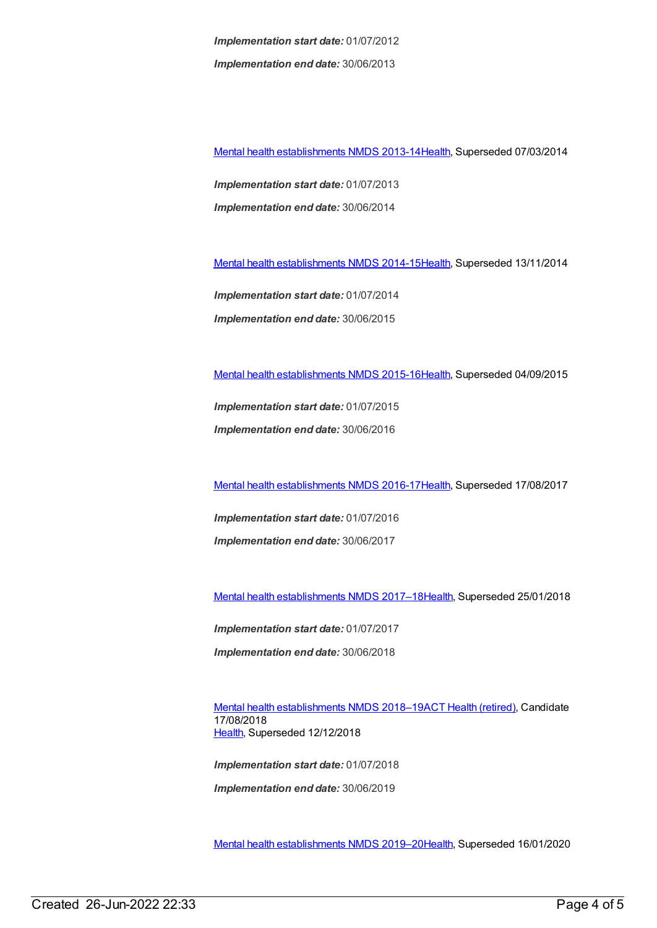*Implementation start date:* 01/07/2012 *Implementation end date:* 30/06/2013

Mental health [establishments](https://meteor.aihw.gov.au/content/493652) NMDS 2013-14[Health](https://meteor.aihw.gov.au/RegistrationAuthority/12), Superseded 07/03/2014

*Implementation start date:* 01/07/2013 *Implementation end date:* 30/06/2014

Mental health [establishments](https://meteor.aihw.gov.au/content/546889) NMDS 2014-15[Health](https://meteor.aihw.gov.au/RegistrationAuthority/12), Superseded 13/11/2014

*Implementation start date:* 01/07/2014 *Implementation end date:* 30/06/2015

Mental health [establishments](https://meteor.aihw.gov.au/content/565661) NMDS 2015-16[Health](https://meteor.aihw.gov.au/RegistrationAuthority/12), Superseded 04/09/2015

*Implementation start date:* 01/07/2015 *Implementation end date:* 30/06/2016

Mental health [establishments](https://meteor.aihw.gov.au/content/605829) NMDS 2016-17[Health](https://meteor.aihw.gov.au/RegistrationAuthority/12), Superseded 17/08/2017

*Implementation start date:* 01/07/2016 *Implementation end date:* 30/06/2017

Mental health [establishments](https://meteor.aihw.gov.au/content/645723) NMDS 2017–1[8Health](https://meteor.aihw.gov.au/RegistrationAuthority/12), Superseded 25/01/2018

*Implementation start date:* 01/07/2017 *Implementation end date:* 30/06/2018

Mental health [establishments](https://meteor.aihw.gov.au/content/677892) NMDS 2018–19ACT Health [\(retired\)](https://meteor.aihw.gov.au/RegistrationAuthority/9), Candidate 17/08/2018 [Health](https://meteor.aihw.gov.au/RegistrationAuthority/12), Superseded 12/12/2018

*Implementation start date:* 01/07/2018 *Implementation end date:* 30/06/2019

Mental health [establishments](https://meteor.aihw.gov.au/content/707557) NMDS 2019–2[0Health](https://meteor.aihw.gov.au/RegistrationAuthority/12), Superseded 16/01/2020